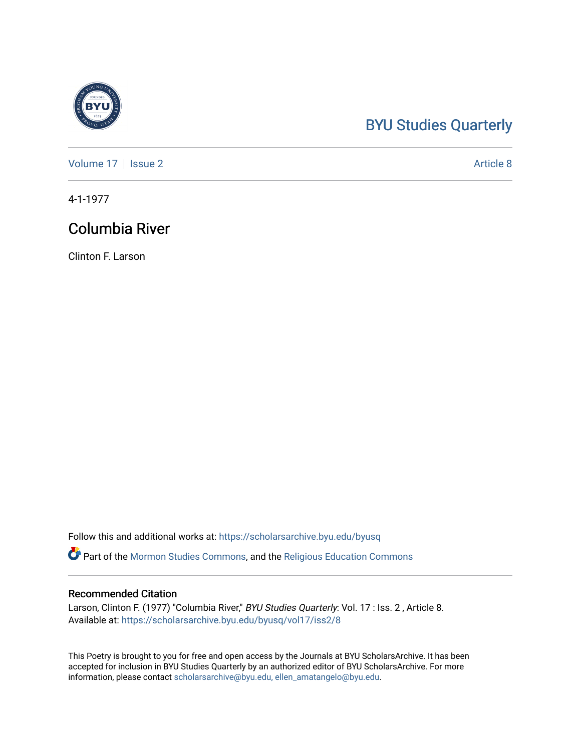## [BYU Studies Quarterly](https://scholarsarchive.byu.edu/byusq)

[Volume 17](https://scholarsarchive.byu.edu/byusq/vol17) | [Issue 2](https://scholarsarchive.byu.edu/byusq/vol17/iss2) Article 8

4-1-1977

### Columbia River

Clinton F. Larson

Follow this and additional works at: [https://scholarsarchive.byu.edu/byusq](https://scholarsarchive.byu.edu/byusq?utm_source=scholarsarchive.byu.edu%2Fbyusq%2Fvol17%2Fiss2%2F8&utm_medium=PDF&utm_campaign=PDFCoverPages) 

**Part of the [Mormon Studies Commons](http://network.bepress.com/hgg/discipline/1360?utm_source=scholarsarchive.byu.edu%2Fbyusq%2Fvol17%2Fiss2%2F8&utm_medium=PDF&utm_campaign=PDFCoverPages), and the Religious Education Commons** 

#### Recommended Citation

Larson, Clinton F. (1977) "Columbia River," BYU Studies Quarterly: Vol. 17 : Iss. 2, Article 8. Available at: [https://scholarsarchive.byu.edu/byusq/vol17/iss2/8](https://scholarsarchive.byu.edu/byusq/vol17/iss2/8?utm_source=scholarsarchive.byu.edu%2Fbyusq%2Fvol17%2Fiss2%2F8&utm_medium=PDF&utm_campaign=PDFCoverPages)

This Poetry is brought to you for free and open access by the Journals at BYU ScholarsArchive. It has been accepted for inclusion in BYU Studies Quarterly by an authorized editor of BYU ScholarsArchive. For more information, please contact [scholarsarchive@byu.edu, ellen\\_amatangelo@byu.edu.](mailto:scholarsarchive@byu.edu,%20ellen_amatangelo@byu.edu)